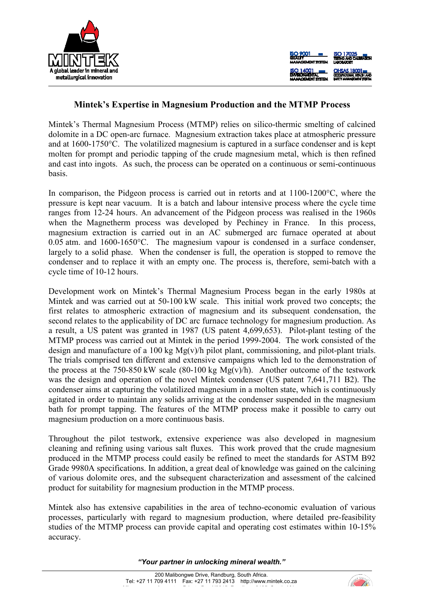



## **Mintek's Expertise in Magnesium Production and the MTMP Process**

Mintek's Thermal Magnesium Process (MTMP) relies on silico-thermic smelting of calcined dolomite in a DC open-arc furnace. Magnesium extraction takes place at atmospheric pressure and at 1600-1750°C. The volatilized magnesium is captured in a surface condenser and is kept molten for prompt and periodic tapping of the crude magnesium metal, which is then refined and cast into ingots. As such, the process can be operated on a continuous or semi-continuous basis.

In comparison, the Pidgeon process is carried out in retorts and at 1100-1200°C, where the pressure is kept near vacuum. It is a batch and labour intensive process where the cycle time ranges from 12-24 hours. An advancement of the Pidgeon process was realised in the 1960s when the Magnetherm process was developed by Pechiney in France. In this process, magnesium extraction is carried out in an AC submerged arc furnace operated at about 0.05 atm. and 1600-1650°C. The magnesium vapour is condensed in a surface condenser, largely to a solid phase. When the condenser is full, the operation is stopped to remove the condenser and to replace it with an empty one. The process is, therefore, semi-batch with a cycle time of 10-12 hours.

Development work on Mintek's Thermal Magnesium Process began in the early 1980s at Mintek and was carried out at 50-100 kW scale. This initial work proved two concepts; the first relates to atmospheric extraction of magnesium and its subsequent condensation, the second relates to the applicability of DC arc furnace technology for magnesium production. As a result, a US patent was granted in 1987 (US patent 4,699,653). Pilot-plant testing of the MTMP process was carried out at Mintek in the period 1999-2004. The work consisted of the design and manufacture of a 100 kg Mg(v)/h pilot plant, commissioning, and pilot-plant trials. The trials comprised ten different and extensive campaigns which led to the demonstration of the process at the 750-850 kW scale  $(80-100 \text{ kg Mg}(v)/h)$ . Another outcome of the testwork was the design and operation of the novel Mintek condenser (US patent 7,641,711 B2). The condenser aims at capturing the volatilized magnesium in a molten state, which is continuously agitated in order to maintain any solids arriving at the condenser suspended in the magnesium bath for prompt tapping. The features of the MTMP process make it possible to carry out magnesium production on a more continuous basis.

Throughout the pilot testwork, extensive experience was also developed in magnesium cleaning and refining using various salt fluxes. This work proved that the crude magnesium produced in the MTMP process could easily be refined to meet the standards for ASTM B92 Grade 9980A specifications. In addition, a great deal of knowledge was gained on the calcining of various dolomite ores, and the subsequent characterization and assessment of the calcined product for suitability for magnesium production in the MTMP process.

Mintek also has extensive capabilities in the area of techno-economic evaluation of various processes, particularly with regard to magnesium production, where detailed pre-feasibility studies of the MTMP process can provide capital and operating cost estimates within 10-15% accuracy.

*"Your partner in unlocking mineral wealth."*